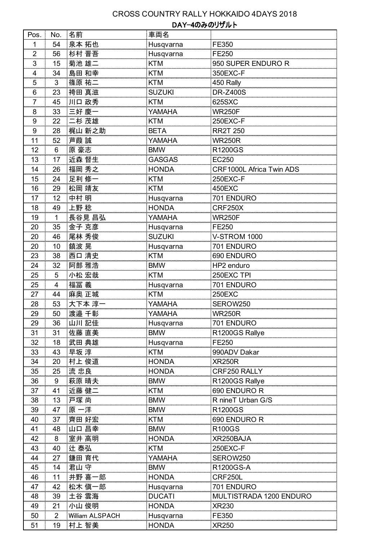## CROSS COUNTRY RALLY HOKKAIDO 4DAYS 2018 DAY-4のみのリザルト

| Pos.             | No.            | 名前              | 車両名           |                          |
|------------------|----------------|-----------------|---------------|--------------------------|
| 1                | 54             | 泉本 拓也           | Husqvarna     | FE350                    |
| $\overline{2}$   | 56             | 杉村 晋吾           | Husqvarna     | FE250                    |
| 3                | 15             | 菊池 雄二           | <b>KTM</b>    | 950 SUPER ENDURO R       |
| 4                | 34             | 島田 和幸           | <b>KTM</b>    | 350EXC-F                 |
| 5                | 3              | 篠原 祐二           | KTM           | 450 Rally                |
| 6                | 23             | 袴田 真滋           | <b>SUZUKI</b> | <b>DR-Z400S</b>          |
| $\overline{7}$   | 45             | 川口 政秀           | <b>KTM</b>    | 625SXC                   |
| 8                | 33             | 三好 慶            | YAMAHA        | <b>WR250F</b>            |
| 9                | 22             | 二杉 茂雄           | KTM           | 250EXC-F                 |
| $\boldsymbol{9}$ | 28             | 梶山 新之助          | <b>BETA</b>   | <b>RR2T 250</b>          |
| 11               | 52             | 芦葭 誠            | YAMAHA        | <b>WR250R</b>            |
| 12               | 6              | 原 豪志            | <b>BMW</b>    | R1200GS                  |
| 13               | 17             | 近森 督生           | <b>GASGAS</b> | EC250                    |
| 14               | 26             | 福岡 秀之           | <b>HONDA</b>  | CRF1000L Africa Twin ADS |
| 15               | 24             | 足利 修一           | <b>KTM</b>    | 250EXC-F                 |
| 16               | 29             | 松岡 靖友           | <b>KTM</b>    | 450EXC                   |
| 17               | 12             | 中村 明            | Husqvarna     | 701 ENDURO               |
| 18               | 49             | 上野稔             | <b>HONDA</b>  | CRF250X                  |
| 19               | 1              | 長谷見 昌弘          | YAMAHA        | <b>WR250F</b>            |
| 20               | 35             | 金子 克彦           | Husqvarna     | FE250                    |
| 20               | 46             | 尾林 秀俊           | <b>SUZUKI</b> | <b>V-STROM 1000</b>      |
| 20               | 10             | 鎮波 晃            | Husqvarna     | 701 ENDURO               |
| 23               | 38             | 西口 清史           | <b>KTM</b>    | 690 ENDURO               |
| 24               | 32             | 阿部 雅浩           | <b>BMW</b>    | HP2 enduro               |
| 25               | 5              | 小松 宏哉           | <b>KTM</b>    | 250EXC TPI               |
| 25               | 4              | 福冨 義            | Husqvarna     | 701 ENDURO               |
| 27               | 44             | 麻奥 正城           | <b>KTM</b>    | <b>250EXC</b>            |
| 28               | 53             | 大下本 淳一          | YAMAHA        | SEROW250                 |
| 29               | 50             | 渡邉 千彰           | YAMAHA        | <b>WR250R</b>            |
| 29               | 36             | 山川 記佳           | Husqvarna     | 701 ENDURO               |
| 31               | 31             | 佐藤 直美           | <b>BMW</b>    | R1200GS Rallye           |
| 32               | 18             | 武田 典雄           | Husqvarna     | FE250                    |
| 33               | 43             | 早坂 淳            | KTM           | 990ADV Dakar             |
| 34               | 20             | 村上 俊道           | <b>HONDA</b>  | <b>XR250R</b>            |
| 35               | 25             | 流忠良             | <b>HONDA</b>  | CRF250 RALLY             |
| 36               | 9              | 萩原 晴夫           | <b>BMW</b>    | R1200GS Rallye           |
| 37               | 41             | 近藤 健二           | KTM           | 690 ENDURO R             |
| 38               | 13             | 戸塚尚             | <b>BMW</b>    | R nineT Urban G/S        |
| 39               | 47             | 原一洋             | <b>BMW</b>    | R1200GS                  |
| 40               | 37             | 齊田 好宏           | <b>KTM</b>    | 690 ENDURO R             |
| 41               | 48             | 山口 昌幸           | <b>BMW</b>    | <b>R100GS</b>            |
| 42               | 8              | 室井 高明           | <b>HONDA</b>  | XR250BAJA                |
| 43               | 40             | 辻 泰弘            | <b>KTM</b>    | 250EXC-F                 |
| 44               | 27             | 鎌田 育代           | YAMAHA        | SEROW250                 |
| 45               | 14             | 君山 守            | <b>BMW</b>    | R1200GS-A                |
| 46               | 11             | 井野 喜一郎          | <b>HONDA</b>  | CRF250L                  |
| 47               | 42             | 松木 愼一郎          | Husqvarna     | 701 ENDURO               |
| 48               | 39             | 土谷 雲海           | <b>DUCATI</b> | MULTISTRADA 1200 ENDURO  |
| 49               | 21             | 小山 俊明           | <b>HONDA</b>  | <b>XR230</b>             |
| 50               | $\overline{2}$ | William ALSPACH | Husqvarna     | FE350                    |
| 51               | 19             | 村上 智美           | <b>HONDA</b>  | <b>XR250</b>             |